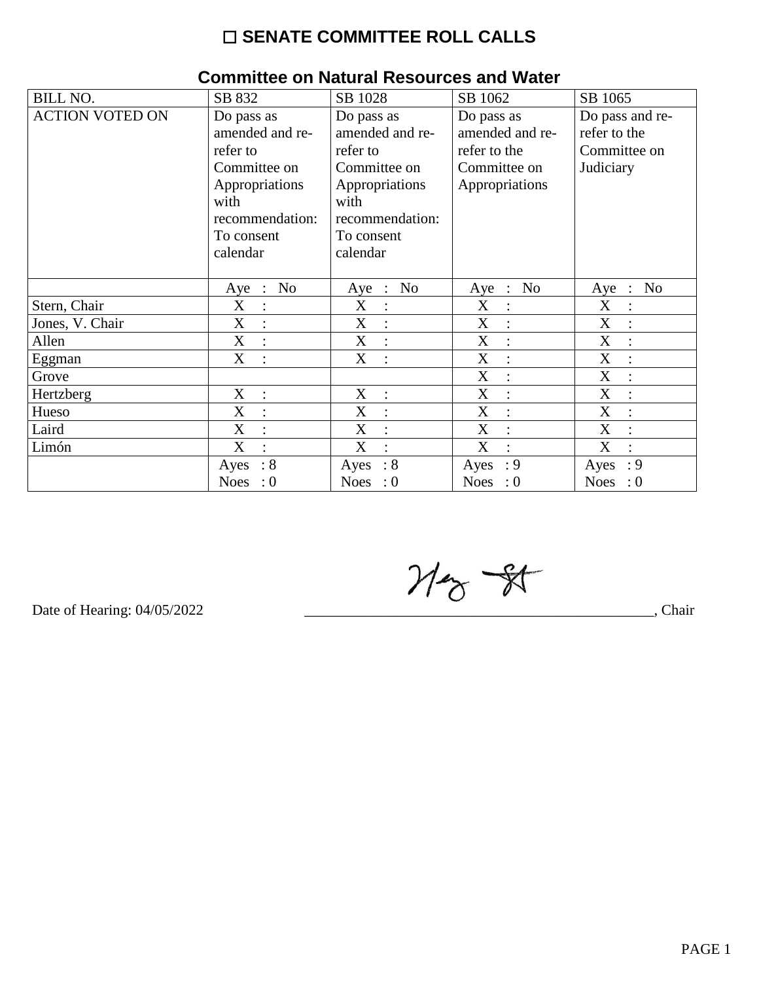## $\square$  SENATE COMMITTEE ROLL CALLS

| 011111111100 ON MAIGHAI MOOOGHOOO GITA TTAIGH |                           |                          |                                             |                                         |  |  |  |
|-----------------------------------------------|---------------------------|--------------------------|---------------------------------------------|-----------------------------------------|--|--|--|
| <b>BILL NO.</b>                               | SB 832                    | SB 1028                  | SB 1062                                     | SB 1065                                 |  |  |  |
| <b>ACTION VOTED ON</b>                        | Do pass as                | Do pass as               | Do pass as                                  | Do pass and re-                         |  |  |  |
|                                               | amended and re-           | amended and re-          | amended and re-                             | refer to the                            |  |  |  |
|                                               | refer to                  | refer to                 | refer to the                                | Committee on                            |  |  |  |
|                                               | Committee on              | Committee on             | Committee on                                | Judiciary                               |  |  |  |
|                                               | Appropriations            | Appropriations           | Appropriations                              |                                         |  |  |  |
|                                               | with                      | with                     |                                             |                                         |  |  |  |
|                                               | recommendation:           | recommendation:          |                                             |                                         |  |  |  |
|                                               | To consent                | To consent               |                                             |                                         |  |  |  |
|                                               | calendar                  | calendar                 |                                             |                                         |  |  |  |
|                                               |                           |                          |                                             |                                         |  |  |  |
|                                               | <b>No</b><br>$Aye$ :      | No<br>Aye :              | N <sub>0</sub><br>$Aye$ :                   | N <sub>o</sub><br>Aye<br>$\mathbb{R}^2$ |  |  |  |
| Stern, Chair                                  | X<br>$\ddot{\cdot}$       | X                        | X<br>$\vdots$                               | X                                       |  |  |  |
| Jones, V. Chair                               | X<br>$\vdots$             | X                        | X<br>$\ddot{\cdot}$                         | X                                       |  |  |  |
| Allen                                         | $\mathbf X$<br>$\pm$      | X<br>$\therefore$        | $\boldsymbol{X}$<br>$\ddot{\cdot}$          | X                                       |  |  |  |
| Eggman                                        | X<br>$\ddot{\phantom{a}}$ | X<br>$\ddot{\cdot}$      | X<br>$\ddot{\cdot}$                         | X                                       |  |  |  |
| Grove                                         |                           |                          | X<br>$\ddot{\cdot}$                         | X                                       |  |  |  |
| Hertzberg                                     | X<br>$\ddot{\cdot}$       | X                        | X                                           | X                                       |  |  |  |
| Hueso                                         | X<br>$\ddot{\cdot}$       | X<br>$\mathcal{L}$       | $\mathbf X$<br>$\ddot{\cdot}$               | $\boldsymbol{\mathrm{X}}$               |  |  |  |
| Laird                                         | X<br>$\ddot{\cdot}$       | X<br>$\ddot{\cdot}$      | $\boldsymbol{\mathrm{X}}$<br>$\ddot{\cdot}$ | X                                       |  |  |  |
| Limón                                         | X<br>$\ddot{\cdot}$       | X<br>$\cdot$             | X<br>$\cdot$                                | X                                       |  |  |  |
|                                               | $\therefore 8$<br>Ayes    | $\therefore$ 8<br>Ayes   | : 9<br>Ayes                                 | : 9<br>Ayes                             |  |  |  |
|                                               | <b>Noes</b><br>: 0        | <b>Noes</b><br>$\cdot 0$ | <b>Noes</b><br>$\therefore 0$               | <b>Noes</b><br>$\cdot 0$                |  |  |  |

#### **Committee on Natural Resources and Water**

 $M_{\odot}$  -  $N$ 

Date of Hearing: 04/05/2022

Chair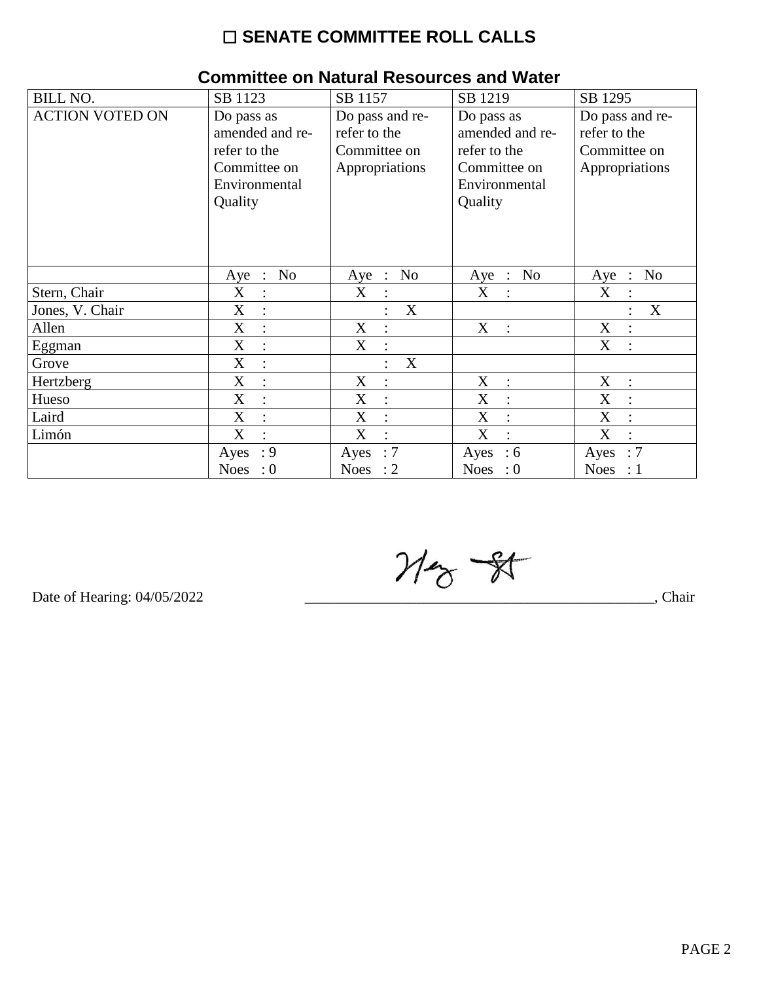## $\square$  SENATE COMMITTEE ROLL CALLS

| <b>BILL NO.</b>        | SB 1123                                                                                   | SB 1157                                                           | SB 1219                                                                                   | SB 1295                                                           |
|------------------------|-------------------------------------------------------------------------------------------|-------------------------------------------------------------------|-------------------------------------------------------------------------------------------|-------------------------------------------------------------------|
| <b>ACTION VOTED ON</b> | Do pass as<br>amended and re-<br>refer to the<br>Committee on<br>Environmental<br>Quality | Do pass and re-<br>refer to the<br>Committee on<br>Appropriations | Do pass as<br>amended and re-<br>refer to the<br>Committee on<br>Environmental<br>Quality | Do pass and re-<br>refer to the<br>Committee on<br>Appropriations |
|                        | N <sub>o</sub><br>Aye :                                                                   | N <sub>o</sub><br>Aye<br>$\cdot$ :                                | N <sub>o</sub><br>Aye<br>$\therefore$                                                     | N <sub>o</sub><br>Aye<br>$\mathbb{R}^2$                           |
| Stern, Chair           | X<br>$\ddot{\cdot}$                                                                       | X                                                                 | X<br>$\ddot{\cdot}$                                                                       | X                                                                 |
| Jones, V. Chair        | $\boldsymbol{\mathrm{X}}$<br>$\ddot{\cdot}$                                               | $\boldsymbol{X}$                                                  |                                                                                           | X                                                                 |
| Allen                  | X<br>$\bullet$                                                                            | X<br>$\cdot$                                                      | X<br>$\ddot{\cdot}$                                                                       | X<br>$\cdot$                                                      |
| Eggman                 | $\mathbf X$                                                                               | X                                                                 |                                                                                           | X                                                                 |
| Grove                  | X<br>$\ddot{\cdot}$                                                                       | X                                                                 |                                                                                           |                                                                   |
| Hertzberg              | X<br>$\bullet$                                                                            | X<br>$\cdot$                                                      | X<br>$\ddot{\cdot}$                                                                       | X<br>$\ddot{\cdot}$                                               |
| Hueso                  | X                                                                                         | X                                                                 | X<br>$\ddot{\cdot}$                                                                       | X                                                                 |
| Laird                  | X<br>$\ddot{\cdot}$                                                                       | X<br>$\ddot{\cdot}$                                               | X<br>$\ddot{\cdot}$                                                                       | X                                                                 |
| Limón                  | X<br>$\bullet$                                                                            | X                                                                 | X<br>$\bullet$                                                                            | X                                                                 |
|                        | : 9<br>Ayes                                                                               | :7<br>Ayes                                                        | $\div 6$<br>Ayes                                                                          | :7<br>Ayes                                                        |
|                        | Noes<br>$\cdot 0$                                                                         | Noes : $2$                                                        | Noes : $0$                                                                                | Noes : $1$                                                        |

# **Committee on Natural Resources and Water**

 $M_{\odot}$  -  $N$ 

Date of Hearing: 04/05/2022

Chair